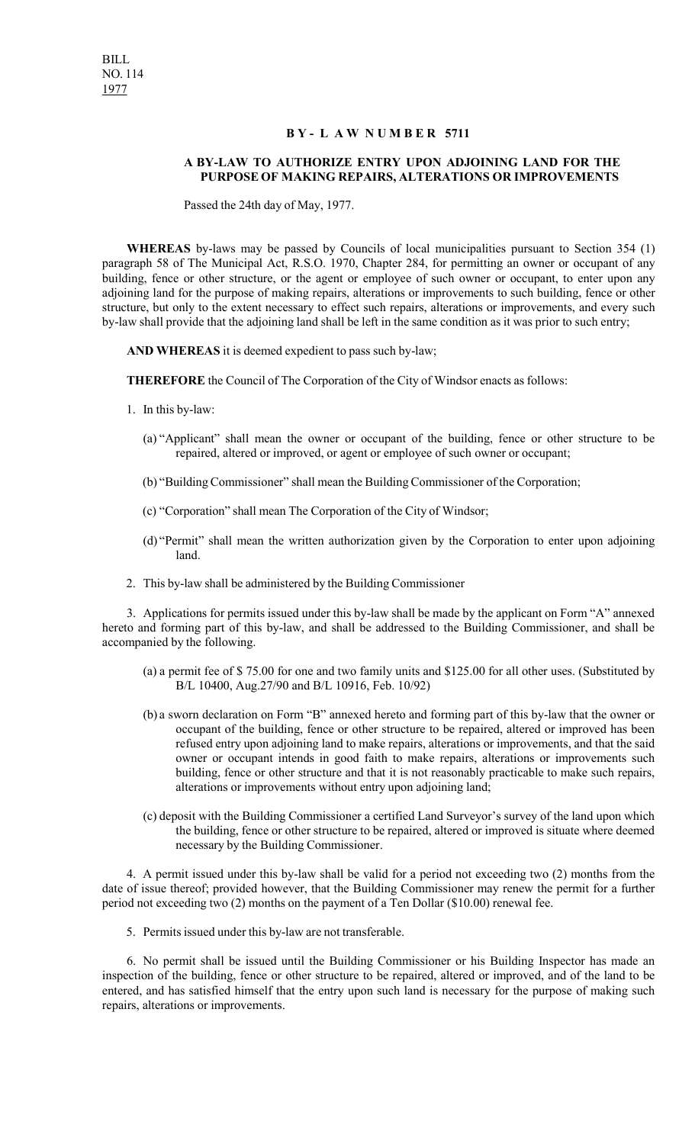## **B Y - L A W N U M B E R 5711**

## **A BY-LAW TO AUTHORIZE ENTRY UPON ADJOINING LAND FOR THE PURPOSE OF MAKING REPAIRS, ALTERATIONS OR IMPROVEMENTS**

Passed the 24th day of May, 1977.

**WHEREAS** by-laws may be passed by Councils of local municipalities pursuant to Section 354 (1) paragraph 58 of The Municipal Act, R.S.O. 1970, Chapter 284, for permitting an owner or occupant of any building, fence or other structure, or the agent or employee of such owner or occupant, to enter upon any adjoining land for the purpose of making repairs, alterations or improvements to such building, fence or other structure, but only to the extent necessary to effect such repairs, alterations or improvements, and every such by-law shall provide that the adjoining land shall be left in the same condition as it was prior to such entry;

**AND WHEREAS** it is deemed expedient to pass such by-law;

**THEREFORE** the Council of The Corporation of the City of Windsor enacts as follows:

- 1. In this by-law:
	- (a) "Applicant" shall mean the owner or occupant of the building, fence or other structure to be repaired, altered or improved, or agent or employee of such owner or occupant;
	- (b) "Building Commissioner" shall mean the Building Commissioner of the Corporation;
	- (c) "Corporation" shall mean The Corporation of the City of Windsor;
	- (d) "Permit" shall mean the written authorization given by the Corporation to enter upon adjoining land.
- 2. This by-law shall be administered by the Building Commissioner

3. Applications for permits issued under this by-law shall be made by the applicant on Form "A" annexed hereto and forming part of this by-law, and shall be addressed to the Building Commissioner, and shall be accompanied by the following.

- (a) a permit fee of \$ 75.00 for one and two family units and \$125.00 for all other uses. (Substituted by B/L 10400, Aug.27/90 and B/L 10916, Feb. 10/92)
- (b) a sworn declaration on Form "B" annexed hereto and forming part of this by-law that the owner or occupant of the building, fence or other structure to be repaired, altered or improved has been refused entry upon adjoining land to make repairs, alterations or improvements, and that the said owner or occupant intends in good faith to make repairs, alterations or improvements such building, fence or other structure and that it is not reasonably practicable to make such repairs, alterations or improvements without entry upon adjoining land;
- (c) deposit with the Building Commissioner a certified Land Surveyor's survey of the land upon which the building, fence or other structure to be repaired, altered or improved is situate where deemed necessary by the Building Commissioner.

4. A permit issued under this by-law shall be valid for a period not exceeding two (2) months from the date of issue thereof; provided however, that the Building Commissioner may renew the permit for a further period not exceeding two (2) months on the payment of a Ten Dollar (\$10.00) renewal fee.

5. Permits issued under this by-law are not transferable.

6. No permit shall be issued until the Building Commissioner or his Building Inspector has made an inspection of the building, fence or other structure to be repaired, altered or improved, and of the land to be entered, and has satisfied himself that the entry upon such land is necessary for the purpose of making such repairs, alterations or improvements.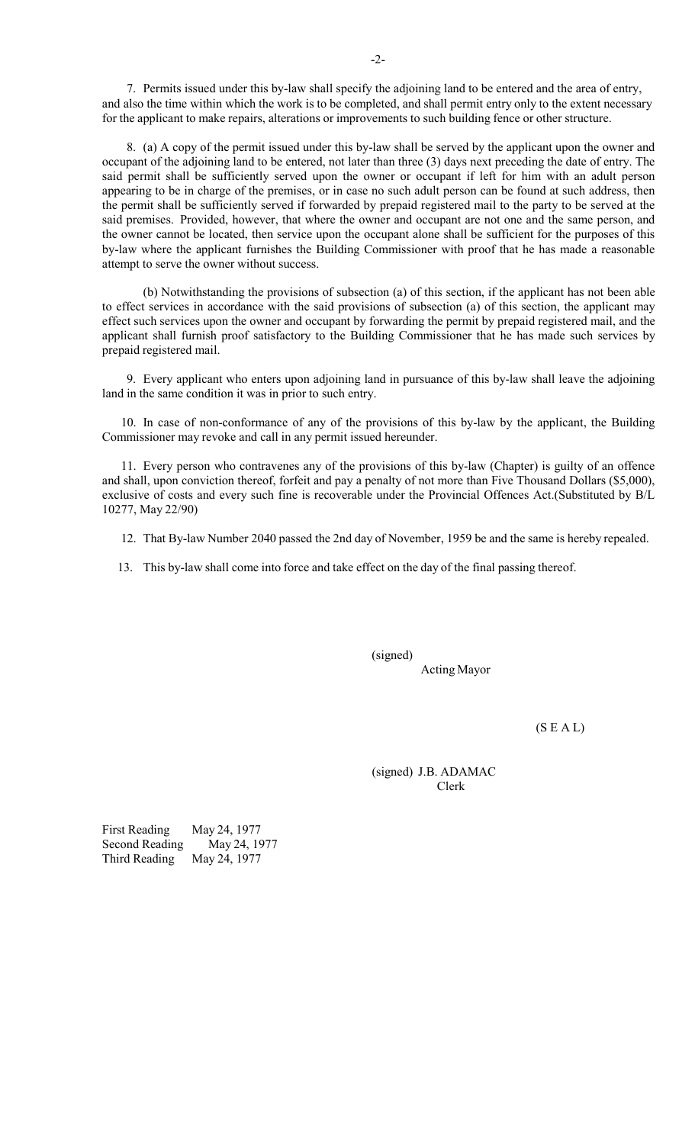7. Permits issued under this by-law shall specify the adjoining land to be entered and the area of entry, and also the time within which the work is to be completed, and shall permit entry only to the extent necessary for the applicant to make repairs, alterations or improvements to such building fence or other structure.

8. (a) A copy of the permit issued under this by-law shall be served by the applicant upon the owner and occupant of the adjoining land to be entered, not later than three (3) days next preceding the date of entry. The said permit shall be sufficiently served upon the owner or occupant if left for him with an adult person appearing to be in charge of the premises, or in case no such adult person can be found at such address, then the permit shall be sufficiently served if forwarded by prepaid registered mail to the party to be served at the said premises. Provided, however, that where the owner and occupant are not one and the same person, and the owner cannot be located, then service upon the occupant alone shall be sufficient for the purposes of this by-law where the applicant furnishes the Building Commissioner with proof that he has made a reasonable attempt to serve the owner without success.

(b) Notwithstanding the provisions of subsection (a) of this section, if the applicant has not been able to effect services in accordance with the said provisions of subsection (a) of this section, the applicant may effect such services upon the owner and occupant by forwarding the permit by prepaid registered mail, and the applicant shall furnish proof satisfactory to the Building Commissioner that he has made such services by prepaid registered mail.

9. Every applicant who enters upon adjoining land in pursuance of this by-law shall leave the adjoining land in the same condition it was in prior to such entry.

10. In case of non-conformance of any of the provisions of this by-law by the applicant, the Building Commissioner may revoke and call in any permit issued hereunder.

11. Every person who contravenes any of the provisions of this by-law (Chapter) is guilty of an offence and shall, upon conviction thereof, forfeit and pay a penalty of not more than Five Thousand Dollars (\$5,000), exclusive of costs and every such fine is recoverable under the Provincial Offences Act.(Substituted by B/L 10277, May 22/90)

- 12. That By-law Number 2040 passed the 2nd day of November, 1959 be and the same is hereby repealed.
- 13. This by-law shall come into force and take effect on the day of the final passing thereof.

(signed) Acting Mayor

 $(S E A L)$ 

(signed) J.B. ADAMAC Clerk

First Reading May 24, 1977<br>Second Reading May 24, 1977 Second Reading Third Reading May 24, 1977